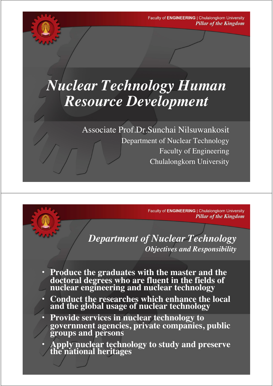# *Nuclear Technology Human Resource Development*

Associate Prof.Dr.Sunchai Nilsuwankosit

Department of Nuclear Technology Faculty of Engineering Chulalongkorn University

> Faculty of ENGINEERING | Chulalongkorn University **Pillar of the Kingdom**

*Department of Nuclear Technology Objectives and Responsibility*

- **Produce the graduates with the master and the doctoral degrees who are fluent in the fields of nuclear engineering and nuclear technology**
- **Conduct the researches which enhance the local and the global usage of nuclear technology**
- **Provide services in nuclear technology to government agencies, private companies, public groups and persons**
- **Apply nuclear technology to study and preserve the national heritages**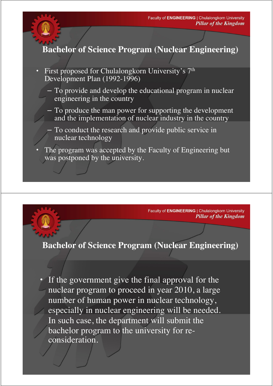#### **Bachelor of Science Program (Nuclear Engineering)**

- First proposed for Chulalongkorn University's 7<sup>th</sup> Development Plan (1992-1996)
	- To provide and develop the educational program in nuclear engineering in the country
	- To produce the man power for supporting the development and the implementation of nuclear industry in the country
	- To conduct the research and provide public service in nuclear technology
- The program was accepted by the Faculty of Engineering but was postponed by the university.

Faculty of ENGINEERING | Chulalongkorn University **Pillar of the Kingdom** 

#### **Bachelor of Science Program (Nuclear Engineering)**

• If the government give the final approval for the nuclear program to proceed in year 2010, a large number of human power in nuclear technology, especially in nuclear engineering will be needed. In such case, the department will submit the bachelor program to the university for reconsideration.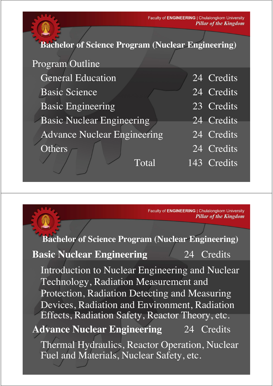### **Bachelor of Science Program (Nuclear Engineering)**

| Program Outline                    |                         |
|------------------------------------|-------------------------|
| <b>General Education</b>           | $\overline{24}$ Credits |
| <b>Basic Science</b>               | 24 Credits              |
| <b>Basic Engineering</b>           | 23 Credits              |
| <b>Basic Nuclear Engineering</b>   | 24 Credits              |
| <b>Advance Nuclear Engineering</b> | $\overline{24}$ Credits |
| Others                             | 24 Credits              |
| Total                              | 143 Credits             |

Faculty of ENGINEERING | Chulalongkorn University **Pillar of the Kingdom** 

## **Bachelor of Science Program (Nuclear Engineering)**

#### **Basic Nuclear Engineering** 24 Credits

Introduction to Nuclear Engineering and Nuclear Technology, Radiation Measurement and Protection, Radiation Detecting and Measuring Devices, Radiation and Environment, Radiation Effects, Radiation Safety, Reactor Theory, etc.

# **Advance Nuclear Engineering** 24 Credits

Thermal Hydraulics, Reactor Operation, Nuclear Fuel and Materials, Nuclear Safety, etc.